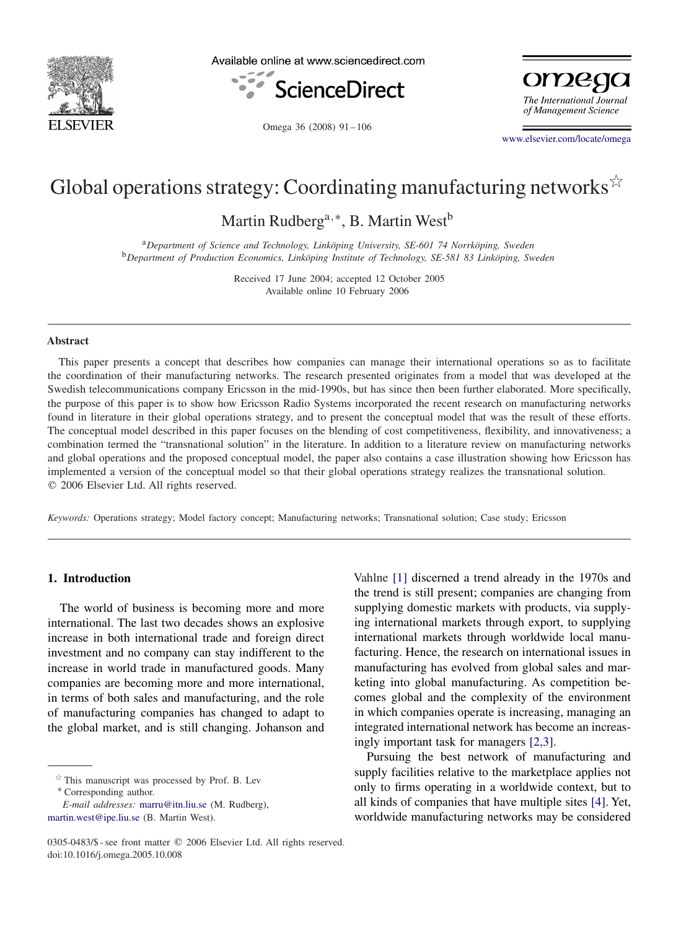

Available online at www.sciencedirect.com





Omega 36 (2008) 91-106

[www.elsevier.com/locate/omega](http://www.elsevier.com/locate/omega)

## Global operations strategy: Coordinating manufacturing networks  $\overleftrightarrow{\cdot}$

Martin Rudberg<sup>a,∗</sup>, B. Martin West<sup>b</sup>

<sup>a</sup>*Department of Science and Technology, Linköping University, SE-601 74 Norrköping, Sweden* <sup>b</sup>*Department of Production Economics, Linköping Institute of Technology, SE-581 83 Linköping, Sweden*

> Received 17 June 2004; accepted 12 October 2005 Available online 10 February 2006

## **Abstract**

This paper presents a concept that describes how companies can manage their international operations so as to facilitate the coordination of their manufacturing networks. The research presented originates from a model that was developed at the Swedish telecommunications company Ericsson in the mid-1990s, but has since then been further elaborated. More specifically, the purpose of this paper is to show how Ericsson Radio Systems incorporated the recent research on manufacturing networks found in literature in their global operations strategy, and to present the conceptual model that was the result of these efforts. The conceptual model described in this paper focuses on the blending of cost competitiveness, flexibility, and innovativeness; a combination termed the "transnational solution" in the literature. In addition to a literature review on manufacturing networks and global operations and the proposed conceptual model, the paper also contains a case illustration showing how Ericsson has implemented a version of the conceptual model so that their global operations strategy realizes the transnational solution. 2006 Elsevier Ltd. All rights reserved.

*Keywords:* Operations strategy; Model factory concept; Manufacturing networks; Transnational solution; Case study; Ericsson

## **1. Introduction**

The world of business is becoming more and more international. The last two decades shows an explosive increase in both international trade and foreign direct investment and no company can stay indifferent to the increase in world trade in manufactured goods. Many companies are becoming more and more international, in terms of both sales and manufacturing, and the role of manufacturing companies has changed to adapt to the global market, and is still changing. Johanson and

 $*$  This manuscript was processed by Prof. B. Lev

∗ Corresponding author.

*E-mail addresses:* [marru@itn.liu.se](mailto:marru@itn.liu.se) (M. Rudberg), [martin.west@ipe.liu.se](mailto:martin.west@ipe.liu.se) (B. Martin West).

Vahlne [\[1\]](#page--1-0) discerned a trend already in the 1970s and the trend is still present; companies are changing from supplying domestic markets with products, via supplying international markets through export, to supplying international markets through worldwide local manufacturing. Hence, the research on international issues in manufacturing has evolved from global sales and marketing into global manufacturing. As competition becomes global and the complexity of the environment in which companies operate is increasing, managing an integrated international network has become an increasingly important task for managers [2,3].

Pursuing the best network of manufacturing and supply facilities relative to the marketplace applies not only to firms operating in a worldwide context, but to all kinds of companies that have multiple sites [\[4\].](#page--1-0) Yet, worldwide manufacturing networks may be considered

<sup>0305-0483/\$ -</sup> see front matter © 2006 Elsevier Ltd. All rights reserved. doi:10.1016/j.omega.2005.10.008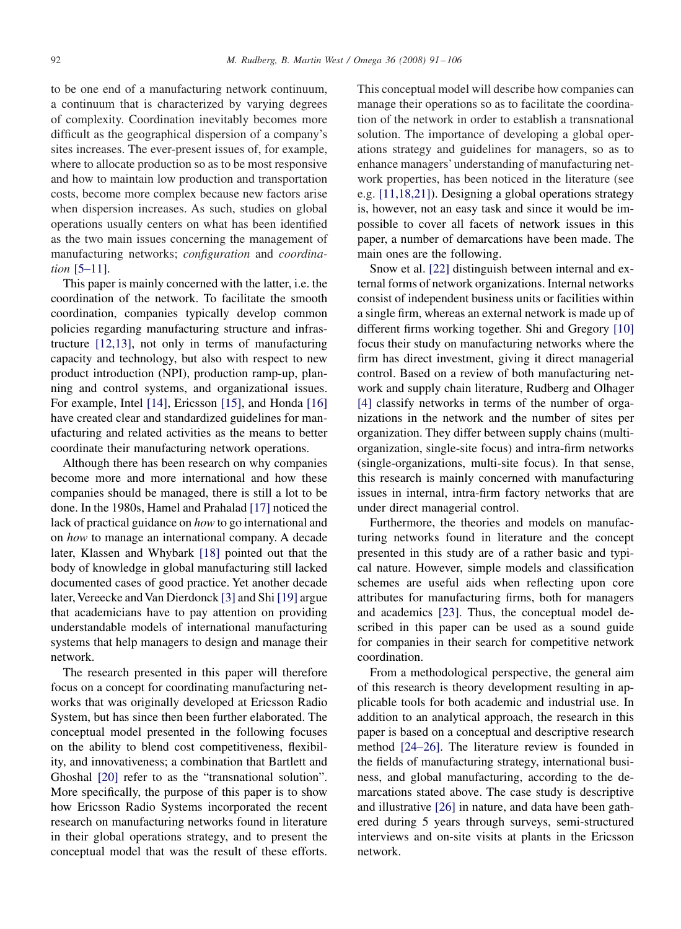to be one end of a manufacturing network continuum, a continuum that is characterized by varying degrees of complexity. Coordination inevitably becomes more difficult as the geographical dispersion of a company's sites increases. The ever-present issues of, for example, where to allocate production so as to be most responsive and how to maintain low production and transportation costs, become more complex because new factors arise when dispersion increases. As such, studies on global operations usually centers on what has been identified as the two main issues concerning the management of manufacturing networks; *configuration* and *coordination* [5–11].

This paper is mainly concerned with the latter, i.e. the coordination of the network. To facilitate the smooth coordination, companies typically develop common policies regarding manufacturing structure and infrastructure [12,13], not only in terms of manufacturing capacity and technology, but also with respect to new product introduction (NPI), production ramp-up, planning and control systems, and organizational issues. For example, Intel [\[14\],](#page--1-0) Ericsson [\[15\],](#page--1-0) and Honda [\[16\]](#page--1-0) have created clear and standardized guidelines for manufacturing and related activities as the means to better coordinate their manufacturing network operations.

Although there has been research on why companies become more and more international and how these companies should be managed, there is still a lot to be done. In the 1980s, Hamel and Prahalad [\[17\]](#page--1-0) noticed the lack of practical guidance on *how* to go international and on *how* to manage an international company. A decade later, Klassen and Whybark [\[18\]](#page--1-0) pointed out that the body of knowledge in global manufacturing still lacked documented cases of good practice. Yet another decade later, Vereecke and Van Dierdonck [\[3\]](#page--1-0) and Shi [\[19\]](#page--1-0) argue that academicians have to pay attention on providing understandable models of international manufacturing systems that help managers to design and manage their network.

The research presented in this paper will therefore focus on a concept for coordinating manufacturing networks that was originally developed at Ericsson Radio System, but has since then been further elaborated. The conceptual model presented in the following focuses on the ability to blend cost competitiveness, flexibility, and innovativeness; a combination that Bartlett and Ghoshal [\[20\]](#page--1-0) refer to as the "transnational solution". More specifically, the purpose of this paper is to show how Ericsson Radio Systems incorporated the recent research on manufacturing networks found in literature in their global operations strategy, and to present the conceptual model that was the result of these efforts. This conceptual model will describe how companies can manage their operations so as to facilitate the coordination of the network in order to establish a transnational solution. The importance of developing a global operations strategy and guidelines for managers, so as to enhance managers' understanding of manufacturing network properties, has been noticed in the literature (see e.g. [11,18,21]). Designing a global operations strategy is, however, not an easy task and since it would be impossible to cover all facets of network issues in this paper, a number of demarcations have been made. The main ones are the following.

Snow et al. [\[22\]](#page--1-0) distinguish between internal and external forms of network organizations. Internal networks consist of independent business units or facilities within a single firm, whereas an external network is made up of different firms working together. Shi and Gregory [\[10\]](#page--1-0) focus their study on manufacturing networks where the firm has direct investment, giving it direct managerial control. Based on a review of both manufacturing network and supply chain literature, Rudberg and Olhager [\[4\]](#page--1-0) classify networks in terms of the number of organizations in the network and the number of sites per organization. They differ between supply chains (multiorganization, single-site focus) and intra-firm networks (single-organizations, multi-site focus). In that sense, this research is mainly concerned with manufacturing issues in internal, intra-firm factory networks that are under direct managerial control.

Furthermore, the theories and models on manufacturing networks found in literature and the concept presented in this study are of a rather basic and typical nature. However, simple models and classification schemes are useful aids when reflecting upon core attributes for manufacturing firms, both for managers and academics [\[23\].](#page--1-0) Thus, the conceptual model described in this paper can be used as a sound guide for companies in their search for competitive network coordination.

From a methodological perspective, the general aim of this research is theory development resulting in applicable tools for both academic and industrial use. In addition to an analytical approach, the research in this paper is based on a conceptual and descriptive research method [24–26]. The literature review is founded in the fields of manufacturing strategy, international business, and global manufacturing, according to the demarcations stated above. The case study is descriptive and illustrative [\[26\]](#page--1-0) in nature, and data have been gathered during 5 years through surveys, semi-structured interviews and on-site visits at plants in the Ericsson network.